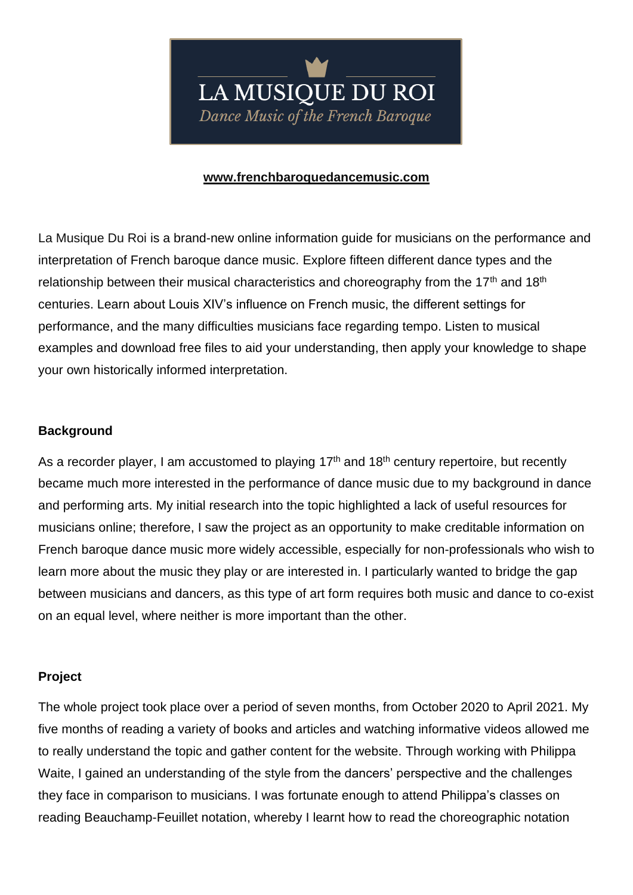## **[www.frenchbaroquedancemusic.com](http://www.frenchbaroquedancemusic.com/)**

La Musique Du Roi is a brand-new online information guide for musicians on the performance and interpretation of French baroque dance music. Explore fifteen different dance types and the relationship between their musical characteristics and choreography from the 17<sup>th</sup> and 18<sup>th</sup> centuries. Learn about Louis XIV's influence on French music, the different settings for performance, and the many difficulties musicians face regarding tempo. Listen to musical examples and download free files to aid your understanding, then apply your knowledge to shape your own historically informed interpretation.

## **Background**

As a recorder player, I am accustomed to playing  $17<sup>th</sup>$  and  $18<sup>th</sup>$  century repertoire, but recently became much more interested in the performance of dance music due to my background in dance and performing arts. My initial research into the topic highlighted a lack of useful resources for musicians online; therefore, I saw the project as an opportunity to make creditable information on French baroque dance music more widely accessible, especially for non-professionals who wish to learn more about the music they play or are interested in. I particularly wanted to bridge the gap between musicians and dancers, as this type of art form requires both music and dance to co-exist on an equal level, where neither is more important than the other.

## **Project**

The whole project took place over a period of seven months, from October 2020 to April 2021. My five months of reading a variety of books and articles and watching informative videos allowed me to really understand the topic and gather content for the website. Through working with Philippa Waite, I gained an understanding of the style from the dancers' perspective and the challenges they face in comparison to musicians. I was fortunate enough to attend Philippa's classes on reading Beauchamp-Feuillet notation, whereby I learnt how to read the choreographic notation